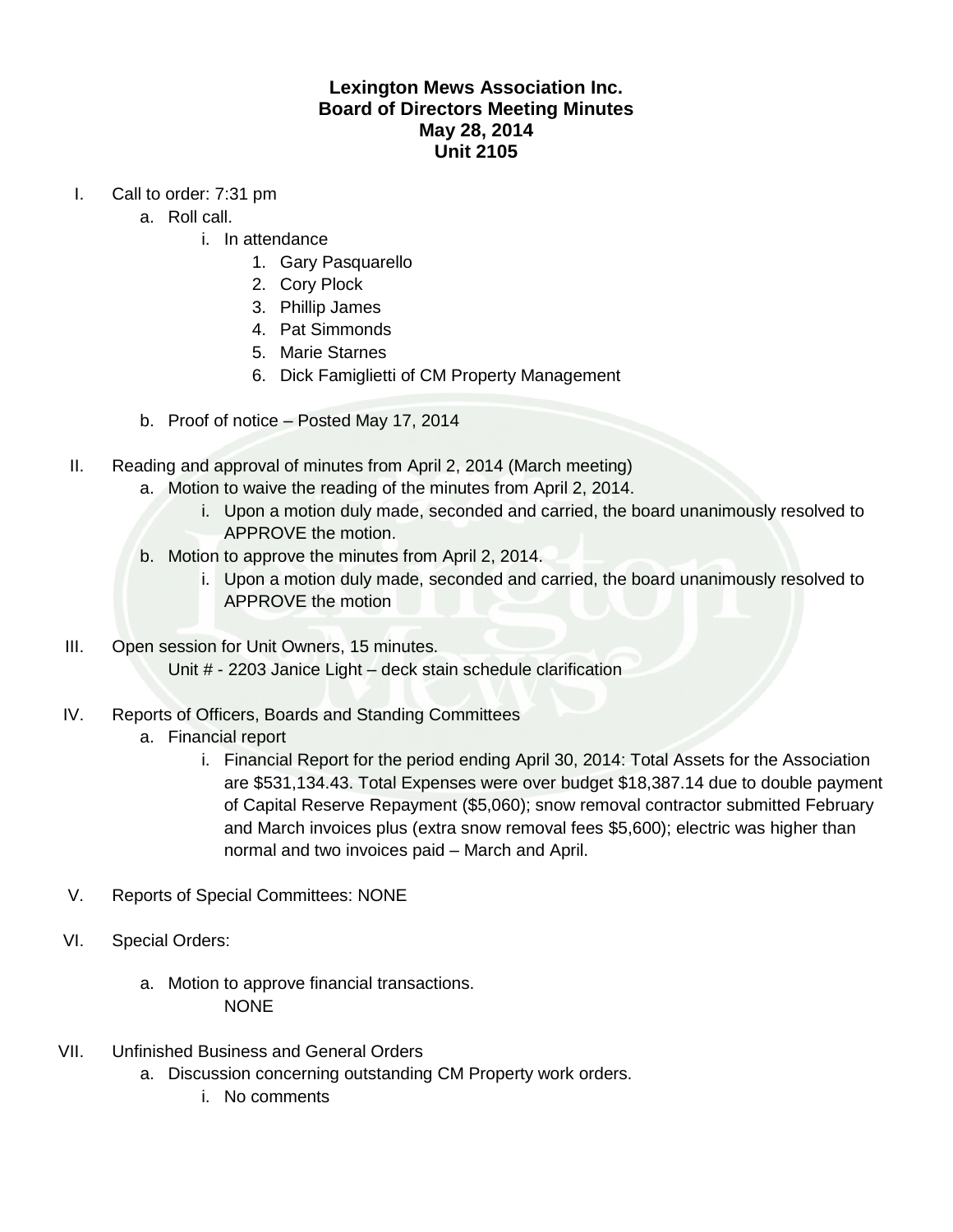## **Lexington Mews Association Inc. Board of Directors Meeting Minutes May 28, 2014 Unit 2105**

- I. Call to order: 7:31 pm
	- a. Roll call.
		- i. In attendance
			- 1. Gary Pasquarello
			- 2. Cory Plock
			- 3. Phillip James
			- 4. Pat Simmonds
			- 5. Marie Starnes
			- 6. Dick Famiglietti of CM Property Management
	- b. Proof of notice Posted May 17, 2014
- II. Reading and approval of minutes from April 2, 2014 (March meeting)
	- a. Motion to waive the reading of the minutes from April 2, 2014.
		- i. Upon a motion duly made, seconded and carried, the board unanimously resolved to APPROVE the motion.
	- b. Motion to approve the minutes from April 2, 2014.
		- i. Upon a motion duly made, seconded and carried, the board unanimously resolved to APPROVE the motion
- III. Open session for Unit Owners, 15 minutes. Unit # - 2203 Janice Light – deck stain schedule clarification
- IV. Reports of Officers, Boards and Standing Committees
	- a. Financial report
		- i. Financial Report for the period ending April 30, 2014: Total Assets for the Association are \$531,134.43. Total Expenses were over budget \$18,387.14 due to double payment of Capital Reserve Repayment (\$5,060); snow removal contractor submitted February and March invoices plus (extra snow removal fees \$5,600); electric was higher than normal and two invoices paid – March and April.
- V. Reports of Special Committees: NONE
- VI. Special Orders:
	- a. Motion to approve financial transactions. **NONE**
- VII. Unfinished Business and General Orders
	- a. Discussion concerning outstanding CM Property work orders.
		- i. No comments